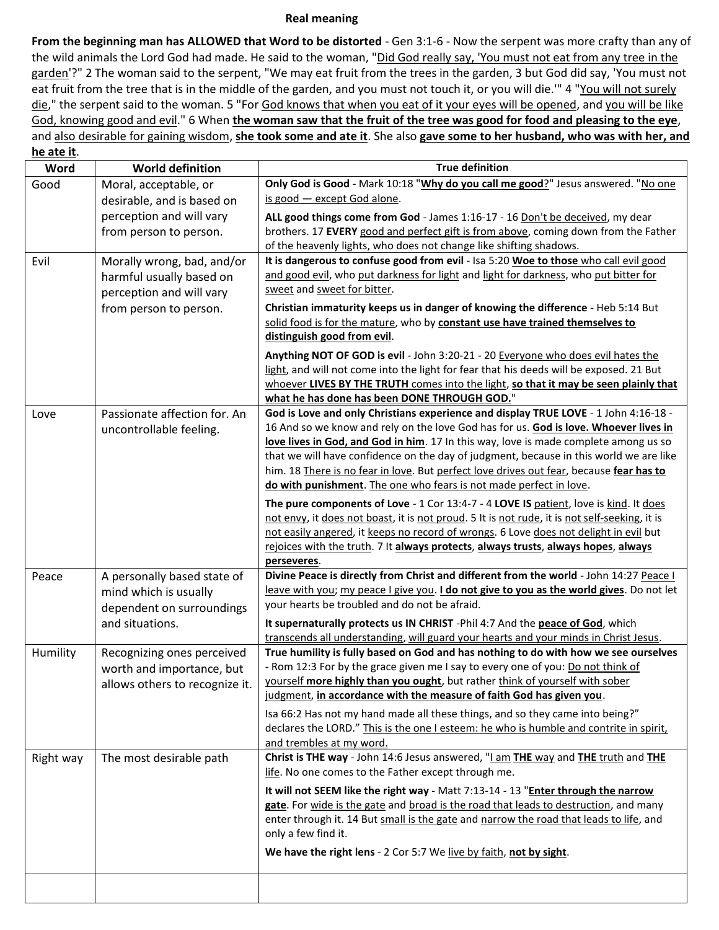## **Real meaning**

**From the beginning man has ALLOWED that Word to be distorted** - Gen 3:1-6 - Now the serpent was more crafty than any of the wild animals the Lord God had made. He said to the woman, "Did God really say, 'You must not eat from any tree in the garden'?" 2 The woman said to the serpent, "We may eat fruit from the trees in the garden, 3 but God did say, 'You must not eat fruit from the tree that is in the middle of the garden, and you must not touch it, or you will die." 4 "You will not surely die," the serpent said to the woman. 5 "For God knows that when you eat of it your eyes will be opened, and you will be like God, knowing good and evil." 6 When **the woman saw that the fruit of the tree was good for food and pleasing to the eye**, and also desirable for gaining wisdom, **she took some and ate it**. She also **gave some to her husband, who was with her, and he ate it**.

| ne ate it.<br>Word | <b>World definition</b>                                | <b>True definition</b>                                                                                                                                                                 |
|--------------------|--------------------------------------------------------|----------------------------------------------------------------------------------------------------------------------------------------------------------------------------------------|
| Good               | Moral, acceptable, or                                  | Only God is Good - Mark 10:18 "Why do you call me good?" Jesus answered. "No one                                                                                                       |
|                    | desirable, and is based on                             | is good - except God alone.                                                                                                                                                            |
|                    | perception and will vary                               | ALL good things come from God - James 1:16-17 - 16 Don't be deceived, my dear                                                                                                          |
|                    | from person to person.                                 | brothers. 17 EVERY good and perfect gift is from above, coming down from the Father                                                                                                    |
|                    |                                                        | of the heavenly lights, who does not change like shifting shadows.<br>It is dangerous to confuse good from evil - Isa 5:20 Woe to those who call evil good                             |
| Evil               | Morally wrong, bad, and/or<br>harmful usually based on | and good evil, who put darkness for light and light for darkness, who put bitter for                                                                                                   |
|                    | perception and will vary                               | sweet and sweet for bitter.                                                                                                                                                            |
|                    | from person to person.                                 | Christian immaturity keeps us in danger of knowing the difference - Heb 5:14 But                                                                                                       |
|                    |                                                        | solid food is for the mature, who by constant use have trained themselves to                                                                                                           |
|                    |                                                        | distinguish good from evil.                                                                                                                                                            |
|                    |                                                        | Anything NOT OF GOD is evil - John 3:20-21 - 20 Everyone who does evil hates the                                                                                                       |
|                    |                                                        | light, and will not come into the light for fear that his deeds will be exposed. 21 But                                                                                                |
|                    |                                                        | whoever LIVES BY THE TRUTH comes into the light, so that it may be seen plainly that                                                                                                   |
|                    | Passionate affection for. An                           | what he has done has been DONE THROUGH GOD."<br>God is Love and only Christians experience and display TRUE LOVE - 1 John 4:16-18 -                                                    |
| Love               | uncontrollable feeling.                                | 16 And so we know and rely on the love God has for us. God is love. Whoever lives in                                                                                                   |
|                    |                                                        | love lives in God, and God in him. 17 In this way, love is made complete among us so                                                                                                   |
|                    |                                                        | that we will have confidence on the day of judgment, because in this world we are like                                                                                                 |
|                    |                                                        | him. 18 There is no fear in love. But perfect love drives out fear, because fear has to                                                                                                |
|                    |                                                        | do with punishment. The one who fears is not made perfect in love.                                                                                                                     |
|                    |                                                        | The pure components of Love - 1 Cor 13:4-7 - 4 LOVE IS patient, love is kind. It does                                                                                                  |
|                    |                                                        | not envy, it does not boast, it is not proud. 5 It is not rude, it is not self-seeking, it is<br>not easily angered, it keeps no record of wrongs. 6 Love does not delight in evil but |
|                    |                                                        | rejoices with the truth. 7 It always protects, always trusts, always hopes, always                                                                                                     |
|                    |                                                        | perseveres.                                                                                                                                                                            |
| Peace              | A personally based state of                            | Divine Peace is directly from Christ and different from the world - John 14:27 Peace I                                                                                                 |
|                    | mind which is usually                                  | leave with you; my peace I give you. I do not give to you as the world gives. Do not let                                                                                               |
|                    | dependent on surroundings                              | your hearts be troubled and do not be afraid.                                                                                                                                          |
|                    | and situations.                                        | It supernaturally protects us IN CHRIST -Phil 4:7 And the peace of God, which                                                                                                          |
| Humility           | Recognizing ones perceived                             | transcends all understanding, will guard your hearts and your minds in Christ Jesus.<br>True humility is fully based on God and has nothing to do with how we see ourselves            |
|                    | worth and importance, but                              | - Rom 12:3 For by the grace given me I say to every one of you: Do not think of                                                                                                        |
|                    | allows others to recognize it.                         | yourself more highly than you ought, but rather think of yourself with sober                                                                                                           |
|                    |                                                        | judgment, in accordance with the measure of faith God has given you.                                                                                                                   |
|                    |                                                        | Isa 66:2 Has not my hand made all these things, and so they came into being?"                                                                                                          |
|                    |                                                        | declares the LORD." This is the one I esteem: he who is humble and contrite in spirit,                                                                                                 |
|                    |                                                        | and trembles at my word.                                                                                                                                                               |
| Right way          | The most desirable path                                | Christ is THE way - John 14:6 Jesus answered, "Lam THE way and THE truth and THE<br>life. No one comes to the Father except through me.                                                |
|                    |                                                        | It will not SEEM like the right way - Matt 7:13-14 - 13 "Enter through the narrow                                                                                                      |
|                    |                                                        | gate. For wide is the gate and broad is the road that leads to destruction, and many                                                                                                   |
|                    |                                                        | enter through it. 14 But small is the gate and narrow the road that leads to life, and                                                                                                 |
|                    |                                                        | only a few find it.                                                                                                                                                                    |
|                    |                                                        | We have the right lens - 2 Cor 5:7 We live by faith, not by sight.                                                                                                                     |
|                    |                                                        |                                                                                                                                                                                        |
|                    |                                                        |                                                                                                                                                                                        |